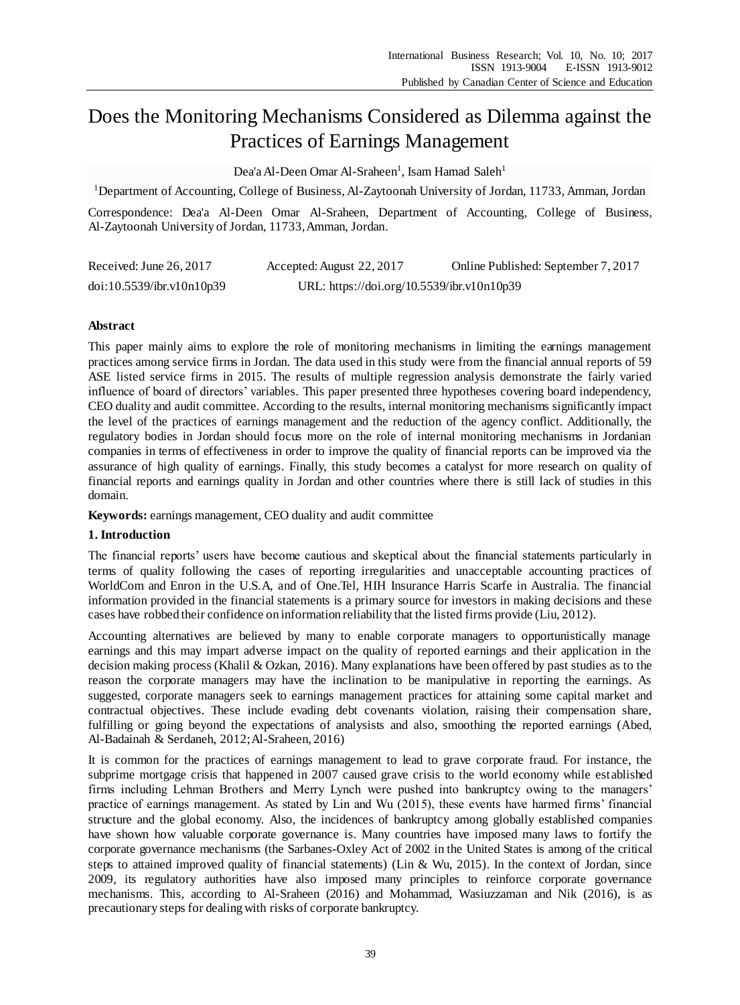# Does the Monitoring Mechanisms Considered as Dilemma against the Practices of Earnings Management

Dea'a Al-Deen Omar Al-Sraheen<sup>1</sup>, Isam Hamad Saleh<sup>1</sup>

<sup>1</sup>Department of Accounting, College of Business, Al-Zaytoonah University of Jordan, 11733, Amman, Jordan

Correspondence: Dea'a Al-Deen Omar Al-Sraheen, Department of Accounting, College of Business, Al-Zaytoonah University of Jordan, 11733, Amman, Jordan.

| Received: June $26, 2017$ | Accepted: August 22, 2017                  | Online Published: September 7, 2017 |
|---------------------------|--------------------------------------------|-------------------------------------|
| doi:10.5539/ibr.v10n10p39 | URL: https://doi.org/10.5539/ibr.v10n10p39 |                                     |

# **Abstract**

This paper mainly aims to explore the role of monitoring mechanisms in limiting the earnings management practices among service firms in Jordan. The data used in this study were from the financial annual reports of 59 ASE listed service firms in 2015. The results of multiple regression analysis demonstrate the fairly varied influence of board of directors' variables. This paper presented three hypotheses covering board independency, CEO duality and audit committee. According to the results, internal monitoring mechanisms significantly impact the level of the practices of earnings management and the reduction of the agency conflict. Additionally, the regulatory bodies in Jordan should focus more on the role of internal monitoring mechanisms in Jordanian companies in terms of effectiveness in order to improve the quality of financial reports can be improved via the assurance of high quality of earnings. Finally, this study becomes a catalyst for more research on quality of financial reports and earnings quality in Jordan and other countries where there is still lack of studies in this domain.

**Keywords:** earnings management, CEO duality and audit committee

# **1. Introduction**

The financial reports' users have become cautious and skeptical about the financial statements particularly in terms of quality following the cases of reporting irregularities and unacceptable accounting practices of WorldCom and Enron in the U.S.A, and of One.Tel, HIH Insurance Harris Scarfe in Australia. The financial information provided in the financial statements is a primary source for investors in making decisions and these cases have robbed their confidence on information reliability that the listed firms provide (Liu, 2012).

Accounting alternatives are believed by many to enable corporate managers to opportunistically manage earnings and this may impart adverse impact on the quality of reported earnings and their application in the decision making process (Khalil & Ozkan, 2016). Many explanations have been offered by past studies as to the reason the corporate managers may have the inclination to be manipulative in reporting the earnings. As suggested, corporate managers seek to earnings management practices for attaining some capital market and contractual objectives. These include evading debt covenants violation, raising their compensation share, fulfilling or going beyond the expectations of analysists and also, smoothing the reported earnings (Abed, Al-Badainah & Serdaneh, 2012; Al-Sraheen, 2016)

It is common for the practices of earnings management to lead to grave corporate fraud. For instance, the subprime mortgage crisis that happened in 2007 caused grave crisis to the world economy while established firms including Lehman Brothers and Merry Lynch were pushed into bankruptcy owing to the managers' practice of earnings management. As stated by Lin and Wu (2015), these events have harmed firms' financial structure and the global economy. Also, the incidences of bankruptcy among globally established companies have shown how valuable corporate governance is. Many countries have imposed many laws to fortify the corporate governance mechanisms (the Sarbanes-Oxley Act of 2002 in the United States is among of the critical steps to attained improved quality of financial statements) (Lin & Wu, 2015). In the context of Jordan, since 2009, its regulatory authorities have also imposed many principles to reinforce corporate governance mechanisms. This, according to Al-Sraheen (2016) and Mohammad, Wasiuzzaman and Nik (2016), is as precautionary steps for dealing with risks of corporate bankruptcy.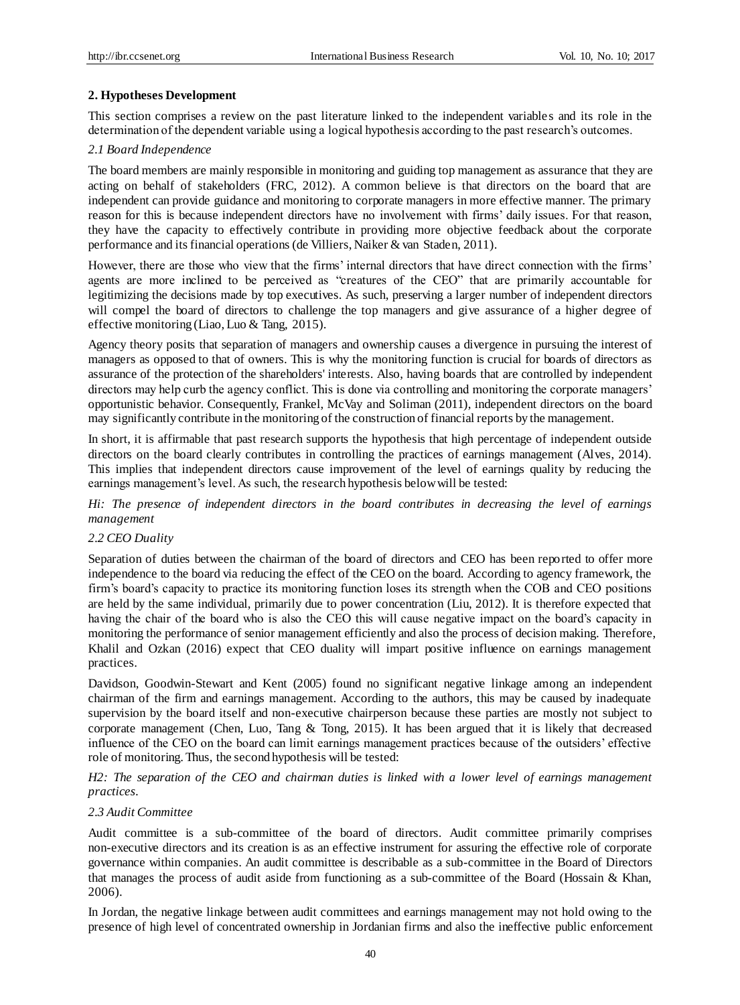## **2. Hypotheses Development**

This section comprises a review on the past literature linked to the independent variables and its role in the determination of the dependent variable using a logical hypothesis according to the past research's outcomes.

## *2.1 Board Independence*

The board members are mainly responsible in monitoring and guiding top management as assurance that they are acting on behalf of stakeholders (FRC, 2012). A common believe is that directors on the board that are independent can provide guidance and monitoring to corporate managers in more effective manner. The primary reason for this is because independent directors have no involvement with firms' daily issues. For that reason, they have the capacity to effectively contribute in providing more objective feedback about the corporate performance and its financial operations (de Villiers, Naiker & van Staden, 2011).

However, there are those who view that the firms' internal directors that have direct connection with the firms' agents are more inclined to be perceived as "creatures of the CEO" that are primarily accountable for legitimizing the decisions made by top executives. As such, preserving a larger number of independent directors will compel the board of directors to challenge the top managers and give assurance of a higher degree of effective monitoring (Liao, Luo & Tang, 2015).

Agency theory posits that separation of managers and ownership causes a divergence in pursuing the interest of managers as opposed to that of owners. This is why the monitoring function is crucial for boards of directors as assurance of the protection of the shareholders' interests. Also, having boards that are controlled by independent directors may help curb the agency conflict. This is done via controlling and monitoring the corporate managers' opportunistic behavior. Consequently, Frankel, McVay and Soliman (2011), independent directors on the board may significantly contribute in the monitoring of the construction of financial reports by the management.

In short, it is affirmable that past research supports the hypothesis that high percentage of independent outside directors on the board clearly contributes in controlling the practices of earnings management (Alves, 2014). This implies that independent directors cause improvement of the level of earnings quality by reducing the earnings management's level. As such, the research hypothesis below will be tested:

*Hi: The presence of independent directors in the board contributes in decreasing the level of earnings management*

## *2.2 CEO Duality*

Separation of duties between the chairman of the board of directors and CEO has been reported to offer more independence to the board via reducing the effect of the CEO on the board. According to agency framework, the firm's board's capacity to practice its monitoring function loses its strength when the COB and CEO positions are held by the same individual, primarily due to power concentration (Liu, 2012). It is therefore expected that having the chair of the board who is also the CEO this will cause negative impact on the board's capacity in monitoring the performance of senior management efficiently and also the process of decision making. Therefore, Khalil and Ozkan (2016) expect that CEO duality will impart positive influence on earnings management practices.

Davidson, Goodwin-Stewart and Kent (2005) found no significant negative linkage among an independent chairman of the firm and earnings management. According to the authors, this may be caused by inadequate supervision by the board itself and non-executive chairperson because these parties are mostly not subject to corporate management (Chen, Luo, Tang & Tong, 2015). It has been argued that it is likely that decreased influence of the CEO on the board can limit earnings management practices because of the outsiders' effective role of monitoring. Thus, the second hypothesis will be tested:

*H2: The separation of the CEO and chairman duties is linked with a lower level of earnings management practices.*

## *2.3 Audit Committee*

Audit committee is a sub-committee of the board of directors. Audit committee primarily comprises non-executive directors and its creation is as an effective instrument for assuring the effective role of corporate governance within companies. An audit committee is describable as a sub-committee in the Board of Directors that manages the process of audit aside from functioning as a sub-committee of the Board (Hossain & Khan, 2006).

In Jordan, the negative linkage between audit committees and earnings management may not hold owing to the presence of high level of concentrated ownership in Jordanian firms and also the ineffective public enforcement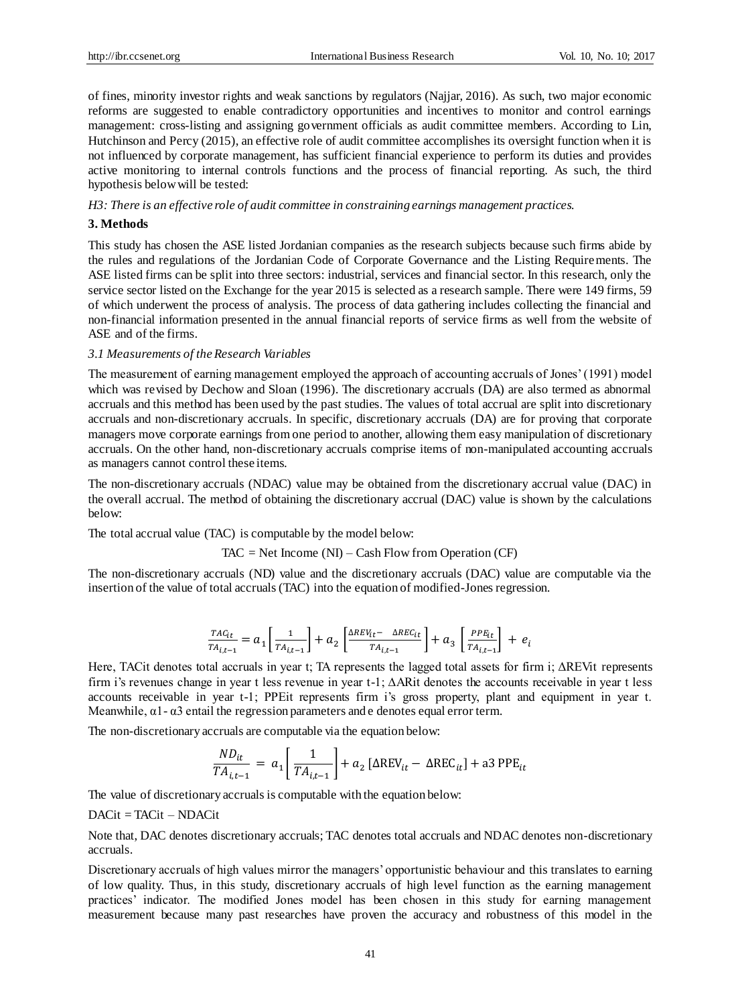of fines, minority investor rights and weak sanctions by regulators (Najjar, 2016). As such, two major economic reforms are suggested to enable contradictory opportunities and incentives to monitor and control earnings management: cross-listing and assigning government officials as audit committee members. According to Lin, Hutchinson and Percy (2015), an effective role of audit committee accomplishes its oversight function when it is not influenced by corporate management, has sufficient financial experience to perform its duties and provides active monitoring to internal controls functions and the process of financial reporting. As such, the third hypothesis below will be tested:

*H3: There is an effective role of audit committee in constraining earnings management practices.*

#### **3. Methods**

This study has chosen the ASE listed Jordanian companies as the research subjects because such firms abide by the rules and regulations of the Jordanian Code of Corporate Governance and the Listing Requirements. The ASE listed firms can be split into three sectors: industrial, services and financial sector. In this research, only the service sector listed on the Exchange for the year 2015 is selected as a research sample. There were 149 firms, 59 of which underwent the process of analysis. The process of data gathering includes collecting the financial and non-financial information presented in the annual financial reports of service firms as well from the website of ASE and of the firms.

#### *3.1 Measurements of the Research Variables*

The measurement of earning management employed the approach of accounting accruals of Jones' (1991) model which was revised by Dechow and Sloan (1996). The discretionary accruals (DA) are also termed as abnormal accruals and this method has been used by the past studies. The values of total accrual are split into discretionary accruals and non-discretionary accruals. In specific, discretionary accruals (DA) are for proving that corporate managers move corporate earnings from one period to another, allowing them easy manipulation of discretionary accruals. On the other hand, non-discretionary accruals comprise items of non-manipulated accounting accruals as managers cannot control these items.

The non-discretionary accruals (NDAC) value may be obtained from the discretionary accrual value (DAC) in the overall accrual. The method of obtaining the discretionary accrual (DAC) value is shown by the calculations below:

The total accrual value (TAC) is computable by the model below:

 $TAC = Net Income (NI) - Cash Flow from Operation (CF)$ 

The non-discretionary accruals (ND) value and the discretionary accruals (DAC) value are computable via the insertion of the value of total accruals (TAC) into the equation of modified-Jones regression.

$$
\frac{\mathit{TAC}_{it}}{\mathit{TA}_{i,t-1}} = a_1 \left[ \frac{1}{\mathit{TA}_{i,t-1}} \right] + a_2 \left[ \frac{\Delta REV_{it} - \Delta REC_{it}}{\mathit{TA}_{i,t-1}} \right] + a_3 \left[ \frac{\mathit{PPE}_{it}}{\mathit{TA}_{i,t-1}} \right] + e_i
$$

Here, TACit denotes total accruals in year t; TA represents the lagged total assets for firm i; ΔREVit represents firm i's revenues change in year t less revenue in year t-1; ∆ARit denotes the accounts receivable in year t less accounts receivable in year t-1; PPEit represents firm i's gross property, plant and equipment in year t. Meanwhile,  $\alpha$ 1 -  $\alpha$ 3 entail the regression parameters and e denotes equal error term.

The non-discretionary accruals are computable via the equation below:

$$
\frac{ND_{it}}{TA_{i,t-1}} = a_1 \left[ \frac{1}{TA_{i,t-1}} \right] + a_2 \left[ \Delta REV_{it} - \Delta REC_{it} \right] + a3 PPE_{it}
$$

The value of discretionary accruals is computable with the equation below:

$$
DACit = TACit - NDACit
$$

Note that, DAC denotes discretionary accruals; TAC denotes total accruals and NDAC denotes non-discretionary accruals.

Discretionary accruals of high values mirror the managers' opportunistic behaviour and this translates to earning of low quality. Thus, in this study, discretionary accruals of high level function as the earning management practices' indicator. The modified Jones model has been chosen in this study for earning management measurement because many past researches have proven the accuracy and robustness of this model in the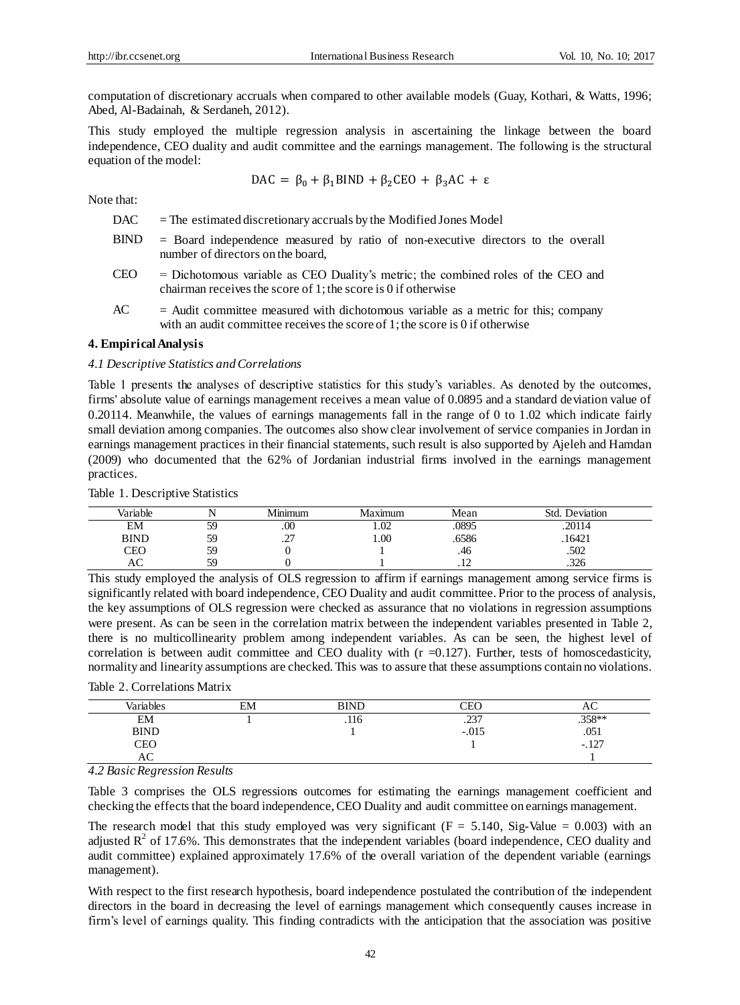computation of discretionary accruals when compared to other available models (Guay, Kothari, & Watts, 1996; Abed, Al-Badainah, & Serdaneh, 2012).

This study employed the multiple regression analysis in ascertaining the linkage between the board independence, CEO duality and audit committee and the earnings management. The following is the structural equation of the model:

$$
DAC = \beta_0 + \beta_1 BIND + \beta_2 CEO + \beta_3 AC + \epsilon
$$

Note that:

 $DAC = The estimated discrepancy$  accruals by the Modified Jones Model

- BIND = Board independence measured by ratio of non-executive directors to the overall number of directors on the board,
- CEO = Dichotomous variable as CEO Duality's metric; the combined roles of the CEO and chairman receives the score of 1; the score is 0 if otherwise
- AC = Audit committee measured with dichotomous variable as a metric for this; company with an audit committee receives the score of 1; the score is 0 if otherwise

#### **4. Empirical Analysis**

#### *4.1 Descriptive Statistics and Correlations*

Table 1 presents the analyses of descriptive statistics for this study's variables. As denoted by the outcomes, firms' absolute value of earnings management receives a mean value of 0.0895 and a standard deviation value of 0.20114. Meanwhile, the values of earnings managements fall in the range of 0 to 1.02 which indicate fairly small deviation among companies. The outcomes also show clear involvement of service companies in Jordan in earnings management practices in their financial statements, such result is also supported by Ajeleh and Hamdan (2009) who documented that the 62% of Jordanian industrial firms involved in the earnings management practices.

Table 1. Descriptive Statistics

| Variable    | N  | Minimum       | Maxımum | Mean  | Std<br>Deviation |
|-------------|----|---------------|---------|-------|------------------|
| EM          | 59 | .00           | 1.02    | .0895 | .20114           |
| <b>BIND</b> | 59 | $\sim$<br>$-$ | 1.00    | .6586 | .16421           |
| CEO         | 59 |               |         | .46   | .502             |
| AC          | 59 |               |         | .     | .326             |

This study employed the analysis of OLS regression to affirm if earnings management among service firms is significantly related with board independence, CEO Duality and audit committee. Prior to the process of analysis, the key assumptions of OLS regression were checked as assurance that no violations in regression assumptions were present. As can be seen in the correlation matrix between the independent variables presented in Table 2, there is no multicollinearity problem among independent variables. As can be seen, the highest level of correlation is between audit committee and CEO duality with  $(r = 0.127)$ . Further, tests of homoscedasticity, normality and linearity assumptions are checked. This was to assure that these assumptions contain no violations.

Table 2. Correlations Matrix

| <b>TT . 11</b><br>variables | EM | <b>RIND</b> | $\cap$        | ЛU                                       |
|-----------------------------|----|-------------|---------------|------------------------------------------|
| EM                          |    | . .<br>.110 | $\sim$<br>رے. | $.358**$                                 |
| <b>BIND</b>                 |    |             | $-.015$       | ∩<'<br>.UJ 1                             |
| CEO                         |    |             |               | $\sim$<br>$\overline{\phantom{0}}$<br>-. |
| AC                          |    |             |               |                                          |

*4.2 Basic Regression Results* 

Table 3 comprises the OLS regressions outcomes for estimating the earnings management coefficient and checking the effects that the board independence, CEO Duality and audit committee on earnings management.

The research model that this study employed was very significant ( $F = 5.140$ , Sig-Value = 0.003) with an adjusted  $R<sup>2</sup>$  of 17.6%. This demonstrates that the independent variables (board independence, CEO duality and audit committee) explained approximately 17.6% of the overall variation of the dependent variable (earnings management).

With respect to the first research hypothesis, board independence postulated the contribution of the independent directors in the board in decreasing the level of earnings management which consequently causes increase in firm's level of earnings quality. This finding contradicts with the anticipation that the association was positive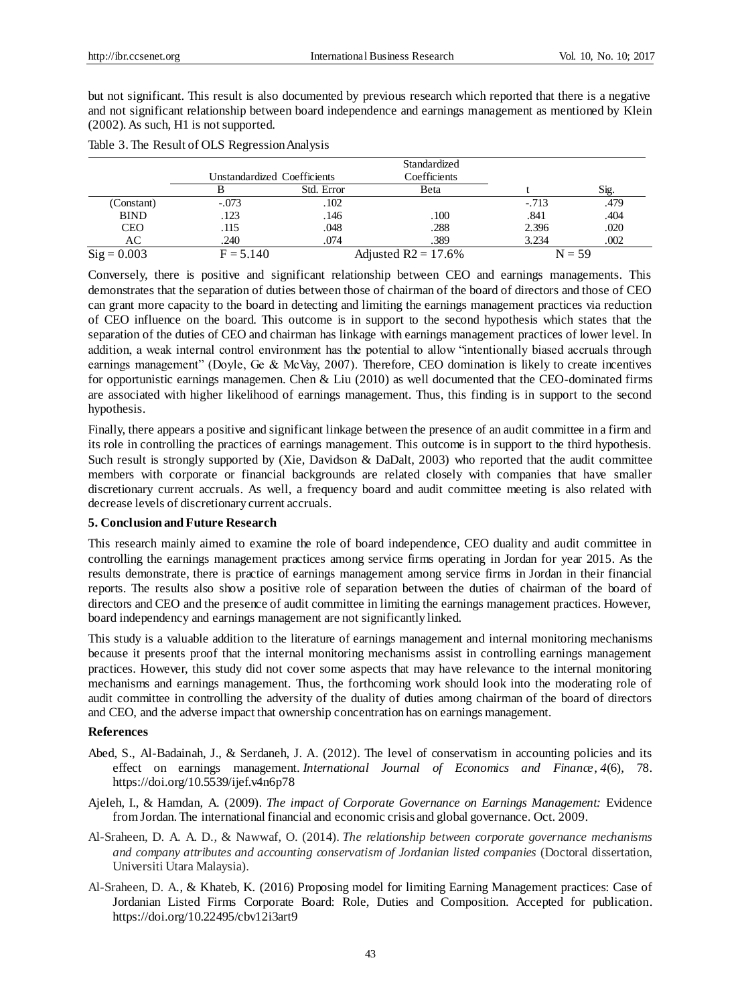but not significant. This result is also documented by previous research which reported that there is a negative and not significant relationship between board independence and earnings management as mentioned by Klein (2002). As such, H1 is not supported.

|               | Unstandardized Coefficients |            | Standardized<br>Coefficients |         |          |
|---------------|-----------------------------|------------|------------------------------|---------|----------|
|               | В                           | Std. Error | Beta                         |         | Sig.     |
| (Constant)    | $-.073$                     | .102       |                              | $-.713$ | .479     |
| <b>BIND</b>   | .123                        | .146       | .100                         | .841    | .404     |
| <b>CEO</b>    | .115                        | .048       | .288                         | 2.396   | .020     |
| AC            | .240                        | .074       | .389                         | 3.234   | .002     |
| $Sig = 0.003$ | $F = 5.140$                 |            | Adjusted $R2 = 17.6\%$       |         | $N = 59$ |

Table 3. The Result of OLS Regression Analysis

Conversely, there is positive and significant relationship between CEO and earnings managements. This demonstrates that the separation of duties between those of chairman of the board of directors and those of CEO can grant more capacity to the board in detecting and limiting the earnings management practices via reduction of CEO influence on the board. This outcome is in support to the second hypothesis which states that the separation of the duties of CEO and chairman has linkage with earnings management practices of lower level. In addition, a weak internal control environment has the potential to allow "intentionally biased accruals through earnings management" (Doyle, Ge & McVay, 2007). Therefore, CEO domination is likely to create incentives for opportunistic earnings managemen. Chen & Liu (2010) as well documented that the CEO-dominated firms are associated with higher likelihood of earnings management. Thus, this finding is in support to the second hypothesis.

Finally, there appears a positive and significant linkage between the presence of an audit committee in a firm and its role in controlling the practices of earnings management. This outcome is in support to the third hypothesis. Such result is strongly supported by (Xie, Davidson & DaDalt, 2003) who reported that the audit committee members with corporate or financial backgrounds are related closely with companies that have smaller discretionary current accruals. As well, a frequency board and audit committee meeting is also related with decrease levels of discretionary current accruals.

## **5. Conclusion and Future Research**

This research mainly aimed to examine the role of board independence, CEO duality and audit committee in controlling the earnings management practices among service firms operating in Jordan for year 2015. As the results demonstrate, there is practice of earnings management among service firms in Jordan in their financial reports. The results also show a positive role of separation between the duties of chairman of the board of directors and CEO and the presence of audit committee in limiting the earnings management practices. However, board independency and earnings management are not significantly linked.

This study is a valuable addition to the literature of earnings management and internal monitoring mechanisms because it presents proof that the internal monitoring mechanisms assist in controlling earnings management practices. However, this study did not cover some aspects that may have relevance to the internal monitoring mechanisms and earnings management. Thus, the forthcoming work should look into the moderating role of audit committee in controlling the adversity of the duality of duties among chairman of the board of directors and CEO, and the adverse impact that ownership concentration has on earnings management.

## **References**

- Abed, S., Al-Badainah, J., & Serdaneh, J. A. (2012). The level of conservatism in accounting policies and its effect on earnings management. *International Journal of Economics and Finance*, *4*(6), 78. https://doi.org/10.5539/ijef.v4n6p78
- Ajeleh, I., & Hamdan, A. (2009). *The impact of Corporate Governance on Earnings Management:* Evidence from Jordan. The international financial and economic crisis and global governance. Oct. 2009.
- Al-Sraheen, D. A. A. D., & Nawwaf, O. (2014). *The relationship between corporate governance mechanisms and company attributes and accounting conservatism of Jordanian listed companies* (Doctoral dissertation, Universiti Utara Malaysia).
- Al-Sraheen, D. A., & Khateb, K. (2016) Proposing model for limiting Earning Management practices: Case of Jordanian Listed Firms Corporate Board: Role, Duties and Composition. Accepted for publication. https://doi.org/10.22495/cbv12i3art9